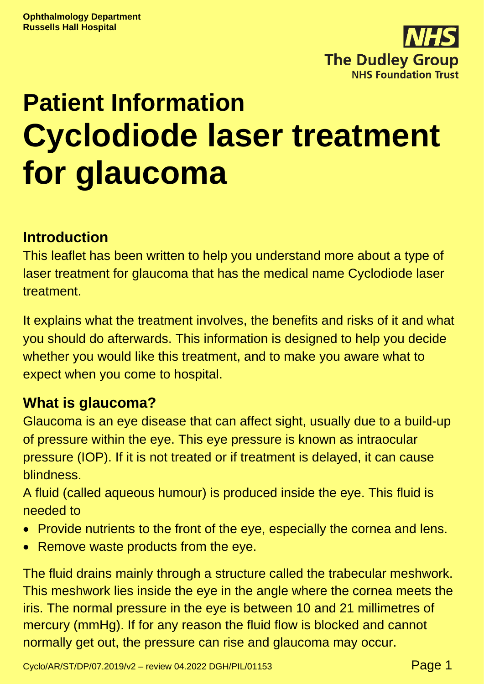

# **Patient Information Cyclodiode laser treatment for glaucoma**

# **Introduction**

This leaflet has been written to help you understand more about a type of laser treatment for glaucoma that has the medical name Cyclodiode laser treatment.

It explains what the treatment involves, the benefits and risks of it and what you should do afterwards. This information is designed to help you decide whether you would like this treatment, and to make you aware what to expect when you come to hospital.

# **What is glaucoma?**

Glaucoma is an eye disease that can affect sight, usually due to a build-up of pressure within the eye. This eye pressure is known as intraocular pressure (IOP). If it is not treated or if treatment is delayed, it can cause blindness.

A fluid (called aqueous humour) is produced inside the eye. This fluid is needed to

- Provide nutrients to the front of the eye, especially the cornea and lens.
- Remove waste products from the eye.

The fluid drains mainly through a structure called the trabecular meshwork. This meshwork lies inside the eye in the angle where the cornea meets the iris. The normal pressure in the eye is between 10 and 21 millimetres of mercury (mmHg). If for any reason the fluid flow is blocked and cannot normally get out, the pressure can rise and glaucoma may occur.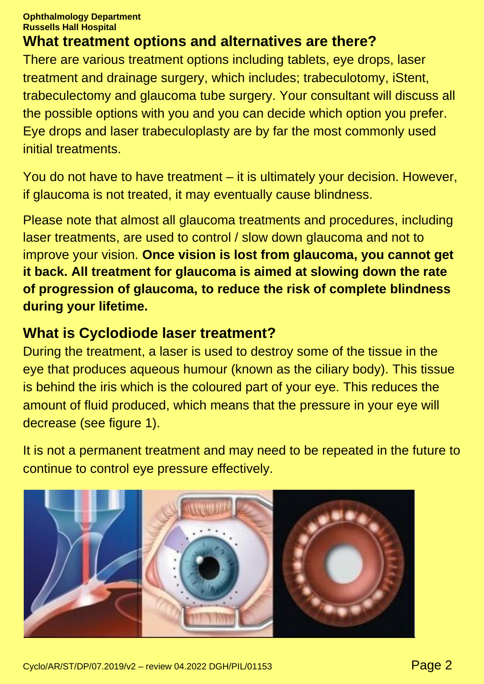#### **Ophthalmology Department Russells Hall Hospital**

# **What treatment options and alternatives are there?**

There are various treatment options including tablets, eye drops, laser treatment and drainage surgery, which includes; trabeculotomy, iStent, trabeculectomy and glaucoma tube surgery. Your consultant will discuss all the possible options with you and you can decide which option you prefer. Eye drops and laser trabeculoplasty are by far the most commonly used initial treatments.

You do not have to have treatment – it is ultimately your decision. However, if glaucoma is not treated, it may eventually cause blindness.

Please note that almost all glaucoma treatments and procedures, including laser treatments, are used to control / slow down glaucoma and not to improve your vision. **Once vision is lost from glaucoma, you cannot get it back. All treatment for glaucoma is aimed at slowing down the rate of progression of glaucoma, to reduce the risk of complete blindness during your lifetime.**

## **What is Cyclodiode laser treatment?**

During the treatment, a laser is used to destroy some of the tissue in the eye that produces aqueous humour (known as the ciliary body). This tissue is behind the iris which is the coloured part of your eye. This reduces the amount of fluid produced, which means that the pressure in your eye will decrease (see figure 1).

It is not a permanent treatment and may need to be repeated in the future to continue to control eye pressure effectively.

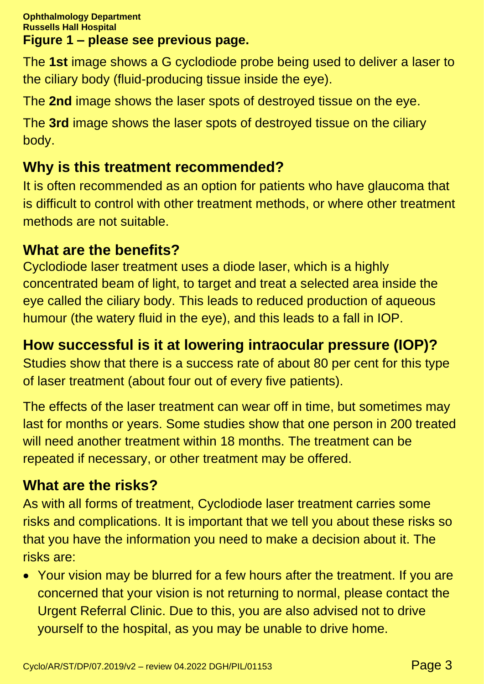The **1st** image shows a G cyclodiode probe being used to deliver a laser to the ciliary body (fluid-producing tissue inside the eye).

The **2nd** image shows the laser spots of destroyed tissue on the eye.

The **3rd** image shows the laser spots of destroyed tissue on the ciliary body.

# **Why is this treatment recommended?**

It is often recommended as an option for patients who have glaucoma that is difficult to control with other treatment methods, or where other treatment methods are not suitable.

# **What are the benefits?**

Cyclodiode laser treatment uses a diode laser, which is a highly concentrated beam of light, to target and treat a selected area inside the eye called the ciliary body. This leads to reduced production of aqueous humour (the watery fluid in the eye), and this leads to a fall in IOP.

# **How successful is it at lowering intraocular pressure (IOP)?**

Studies show that there is a success rate of about 80 per cent for this type of laser treatment (about four out of every five patients).

The effects of the laser treatment can wear off in time, but sometimes may last for months or years. Some studies show that one person in 200 treated will need another treatment within 18 months. The treatment can be repeated if necessary, or other treatment may be offered.

# **What are the risks?**

As with all forms of treatment, Cyclodiode laser treatment carries some risks and complications. It is important that we tell you about these risks so that you have the information you need to make a decision about it. The risks are:

• Your vision may be blurred for a few hours after the treatment. If you are concerned that your vision is not returning to normal, please contact the Urgent Referral Clinic. Due to this, you are also advised not to drive yourself to the hospital, as you may be unable to drive home.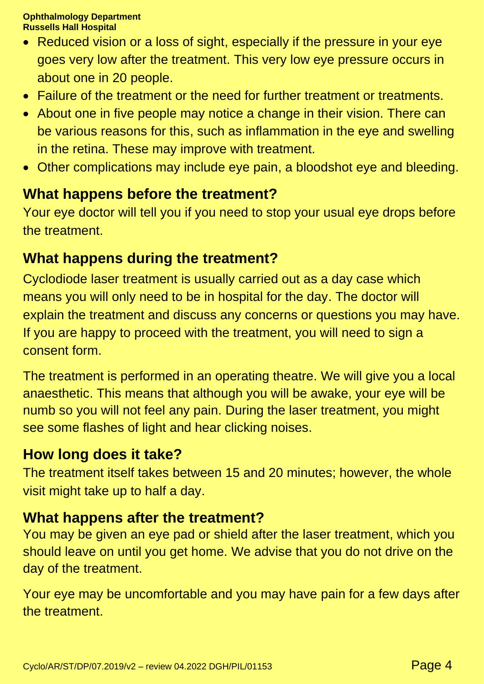#### **Ophthalmology Department Russells Hall Hospital**

- Reduced vision or a loss of sight, especially if the pressure in your eye goes very low after the treatment. This very low eye pressure occurs in about one in 20 people.
- Failure of the treatment or the need for further treatment or treatments.
- About one in five people may notice a change in their vision. There can be various reasons for this, such as inflammation in the eye and swelling in the retina. These may improve with treatment.
- Other complications may include eye pain, a bloodshot eye and bleeding.

## **What happens before the treatment?**

Your eye doctor will tell you if you need to stop your usual eye drops before the treatment.

# **What happens during the treatment?**

Cyclodiode laser treatment is usually carried out as a day case which means you will only need to be in hospital for the day. The doctor will explain the treatment and discuss any concerns or questions you may have. If you are happy to proceed with the treatment, you will need to sign a consent form.

The treatment is performed in an operating theatre. We will give you a local anaesthetic. This means that although you will be awake, your eye will be numb so you will not feel any pain. During the laser treatment, you might see some flashes of light and hear clicking noises.

# **How long does it take?**

The treatment itself takes between 15 and 20 minutes; however, the whole visit might take up to half a day.

#### **What happens after the treatment?**

You may be given an eye pad or shield after the laser treatment, which you should leave on until you get home. We advise that you do not drive on the day of the treatment.

Your eye may be uncomfortable and you may have pain for a few days after the treatment.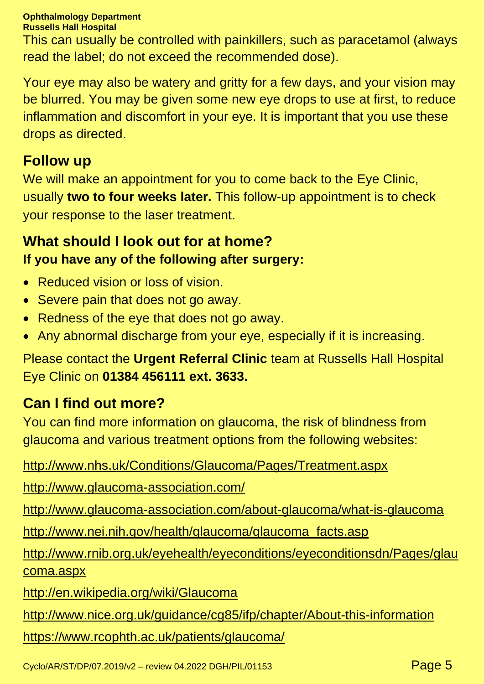#### **Ophthalmology Department**

**Russells Hall Hospital**

This can usually be controlled with painkillers, such as paracetamol (always read the label; do not exceed the recommended dose).

Your eye may also be watery and gritty for a few days, and your vision may be blurred. You may be given some new eye drops to use at first, to reduce inflammation and discomfort in your eye. It is important that you use these drops as directed.

#### **Follow up**

We will make an appointment for you to come back to the Eye Clinic, usually **two to four weeks later.** This follow-up appointment is to check your response to the laser treatment.

## **What should I look out for at home? If you have any of the following after surgery:**

- Reduced vision or loss of vision.
- Severe pain that does not go away.
- Redness of the eye that does not go away.
- Any abnormal discharge from your eye, especially if it is increasing.

Please contact the **Urgent Referral Clinic** team at Russells Hall Hospital Eye Clinic on **01384 456111 ext. 3633.**

# **Can I find out more?**

You can find more information on glaucoma, the risk of blindness from glaucoma and various treatment options from the following websites:

<http://www.nhs.uk/Conditions/Glaucoma/Pages/Treatment.aspx>

<http://www.glaucoma-association.com/>

<http://www.glaucoma-association.com/about-glaucoma/what-is-glaucoma>

[http://www.nei.nih.gov/health/glaucoma/glaucoma\\_facts.asp](http://www.nei.nih.gov/health/glaucoma/glaucoma_facts.asp)

[http://www.rnib.org.uk/eyehealth/eyeconditions/eyeconditionsdn/Pages/glau](http://www.rnib.org.uk/eyehealth/eyeconditions/eyeconditionsdn/Pages/glaucoma.aspx) [coma.aspx](http://www.rnib.org.uk/eyehealth/eyeconditions/eyeconditionsdn/Pages/glaucoma.aspx)

<http://en.wikipedia.org/wiki/Glaucoma>

<http://www.nice.org.uk/guidance/cg85/ifp/chapter/About-this-information>

<https://www.rcophth.ac.uk/patients/glaucoma/>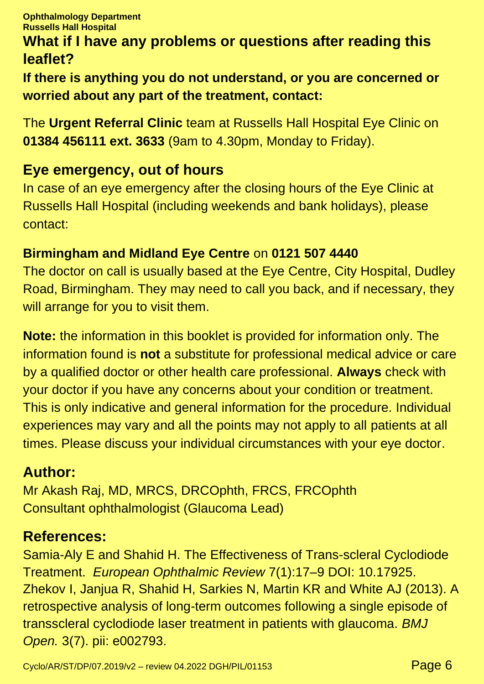# **What if I have any problems or questions after reading this leaflet?**

**If there is anything you do not understand, or you are concerned or worried about any part of the treatment, contact:**

The **Urgent Referral Clinic** team at Russells Hall Hospital Eye Clinic on **01384 456111 ext. 3633** (9am to 4.30pm, Monday to Friday).

# **Eye emergency, out of hours**

In case of an eye emergency after the closing hours of the Eye Clinic at Russells Hall Hospital (including weekends and bank holidays), please contact:

#### **Birmingham and Midland Eye Centre** on **0121 507 4440**

The doctor on call is usually based at the Eye Centre, City Hospital, Dudley Road, Birmingham. They may need to call you back, and if necessary, they will arrange for you to visit them.

**Note:** the information in this booklet is provided for information only. The information found is **not** a substitute for professional medical advice or care by a qualified doctor or other health care professional. **Always** check with your doctor if you have any concerns about your condition or treatment. This is only indicative and general information for the procedure. Individual experiences may vary and all the points may not apply to all patients at all times. Please discuss your individual circumstances with your eye doctor.

## **Author:**

Mr Akash Raj, MD, MRCS, DRCOphth, FRCS, FRCOphth Consultant ophthalmologist (Glaucoma Lead)

## **References:**

Samia-Aly E and Shahid H. The Effectiveness of Trans-scleral Cyclodiode Treatment. *European Ophthalmic Review* 7(1):17–9 DOI: 10.17925. Zhekov I, Janjua R, Shahid H, Sarkies N, Martin KR and White AJ (2013). A retrospective analysis of long-term outcomes following a single episode of transscleral cyclodiode laser treatment in patients with glaucoma. *BMJ Open.* 3(7). pii: e002793.